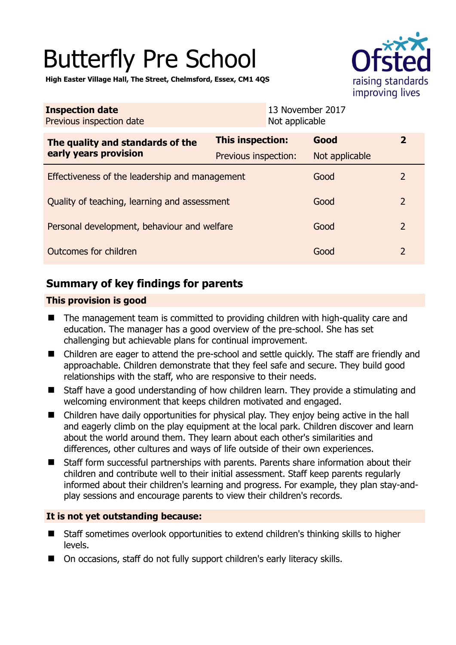# Butterfly Pre School



**High Easter Village Hall, The Street, Chelmsford, Essex, CM1 4QS** 

| <b>Inspection date</b><br>Previous inspection date        |                         | 13 November 2017<br>Not applicable |                |                         |
|-----------------------------------------------------------|-------------------------|------------------------------------|----------------|-------------------------|
| The quality and standards of the<br>early years provision | <b>This inspection:</b> |                                    | Good           | $\overline{\mathbf{2}}$ |
|                                                           | Previous inspection:    |                                    | Not applicable |                         |
| Effectiveness of the leadership and management            |                         |                                    | Good           | 2                       |
| Quality of teaching, learning and assessment              |                         |                                    | Good           | $\mathcal{P}$           |
| Personal development, behaviour and welfare               |                         |                                    | Good           | $\overline{2}$          |
| Outcomes for children                                     |                         |                                    | Good           | $\mathcal{L}$           |

# **Summary of key findings for parents**

## **This provision is good**

- The management team is committed to providing children with high-quality care and education. The manager has a good overview of the pre-school. She has set challenging but achievable plans for continual improvement.
- Children are eager to attend the pre-school and settle quickly. The staff are friendly and approachable. Children demonstrate that they feel safe and secure. They build good relationships with the staff, who are responsive to their needs.
- Staff have a good understanding of how children learn. They provide a stimulating and welcoming environment that keeps children motivated and engaged.
- Children have daily opportunities for physical play. They enjoy being active in the hall and eagerly climb on the play equipment at the local park. Children discover and learn about the world around them. They learn about each other's similarities and differences, other cultures and ways of life outside of their own experiences.
- Staff form successful partnerships with parents. Parents share information about their children and contribute well to their initial assessment. Staff keep parents regularly informed about their children's learning and progress. For example, they plan stay-andplay sessions and encourage parents to view their children's records.

#### **It is not yet outstanding because:**

- Staff sometimes overlook opportunities to extend children's thinking skills to higher levels.
- On occasions, staff do not fully support children's early literacy skills.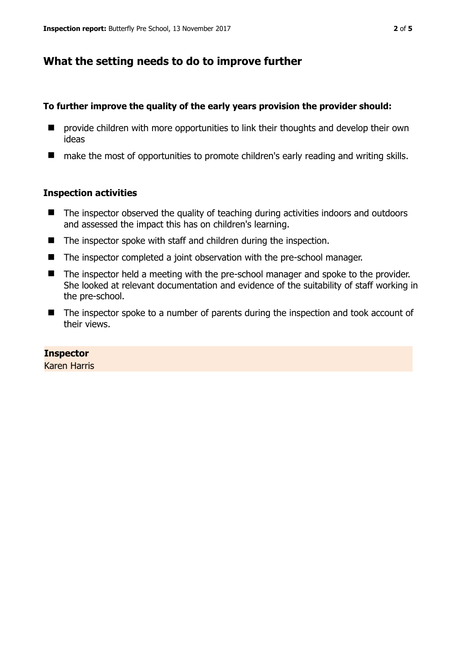# **What the setting needs to do to improve further**

### **To further improve the quality of the early years provision the provider should:**

- **E** provide children with more opportunities to link their thoughts and develop their own ideas
- make the most of opportunities to promote children's early reading and writing skills.

#### **Inspection activities**

- The inspector observed the quality of teaching during activities indoors and outdoors and assessed the impact this has on children's learning.
- The inspector spoke with staff and children during the inspection.
- The inspector completed a joint observation with the pre-school manager.
- The inspector held a meeting with the pre-school manager and spoke to the provider. She looked at relevant documentation and evidence of the suitability of staff working in the pre-school.
- The inspector spoke to a number of parents during the inspection and took account of their views.

## **Inspector**

Karen Harris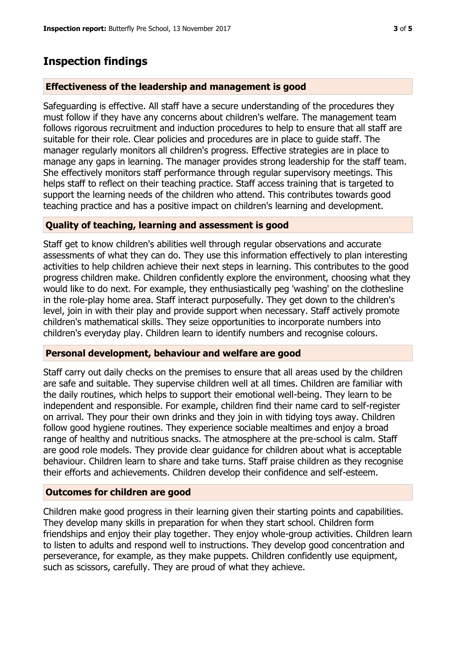# **Inspection findings**

## **Effectiveness of the leadership and management is good**

Safeguarding is effective. All staff have a secure understanding of the procedures they must follow if they have any concerns about children's welfare. The management team follows rigorous recruitment and induction procedures to help to ensure that all staff are suitable for their role. Clear policies and procedures are in place to guide staff. The manager regularly monitors all children's progress. Effective strategies are in place to manage any gaps in learning. The manager provides strong leadership for the staff team. She effectively monitors staff performance through regular supervisory meetings. This helps staff to reflect on their teaching practice. Staff access training that is targeted to support the learning needs of the children who attend. This contributes towards good teaching practice and has a positive impact on children's learning and development.

## **Quality of teaching, learning and assessment is good**

Staff get to know children's abilities well through regular observations and accurate assessments of what they can do. They use this information effectively to plan interesting activities to help children achieve their next steps in learning. This contributes to the good progress children make. Children confidently explore the environment, choosing what they would like to do next. For example, they enthusiastically peg 'washing' on the clothesline in the role-play home area. Staff interact purposefully. They get down to the children's level, join in with their play and provide support when necessary. Staff actively promote children's mathematical skills. They seize opportunities to incorporate numbers into children's everyday play. Children learn to identify numbers and recognise colours.

#### **Personal development, behaviour and welfare are good**

Staff carry out daily checks on the premises to ensure that all areas used by the children are safe and suitable. They supervise children well at all times. Children are familiar with the daily routines, which helps to support their emotional well-being. They learn to be independent and responsible. For example, children find their name card to self-register on arrival. They pour their own drinks and they join in with tidying toys away. Children follow good hygiene routines. They experience sociable mealtimes and enjoy a broad range of healthy and nutritious snacks. The atmosphere at the pre-school is calm. Staff are good role models. They provide clear guidance for children about what is acceptable behaviour. Children learn to share and take turns. Staff praise children as they recognise their efforts and achievements. Children develop their confidence and self-esteem.

#### **Outcomes for children are good**

Children make good progress in their learning given their starting points and capabilities. They develop many skills in preparation for when they start school. Children form friendships and enjoy their play together. They enjoy whole-group activities. Children learn to listen to adults and respond well to instructions. They develop good concentration and perseverance, for example, as they make puppets. Children confidently use equipment, such as scissors, carefully. They are proud of what they achieve.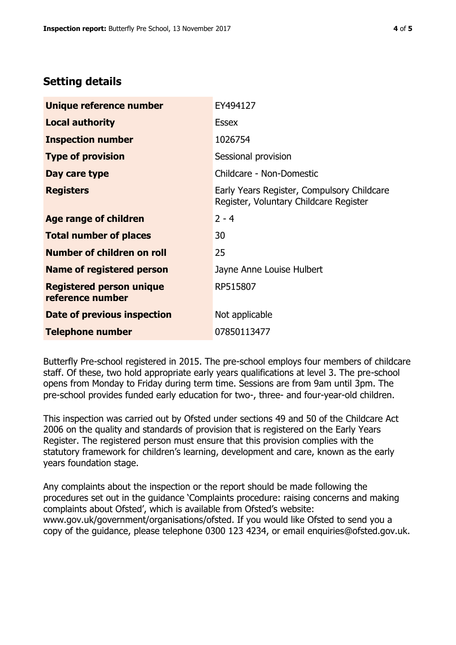# **Setting details**

| Unique reference number                             | EY494127                                                                             |  |
|-----------------------------------------------------|--------------------------------------------------------------------------------------|--|
| <b>Local authority</b>                              | <b>Essex</b>                                                                         |  |
| <b>Inspection number</b>                            | 1026754                                                                              |  |
| <b>Type of provision</b>                            | Sessional provision                                                                  |  |
| Day care type                                       | Childcare - Non-Domestic                                                             |  |
| <b>Registers</b>                                    | Early Years Register, Compulsory Childcare<br>Register, Voluntary Childcare Register |  |
| Age range of children                               | $2 - 4$                                                                              |  |
| <b>Total number of places</b>                       | 30                                                                                   |  |
| Number of children on roll                          | 25                                                                                   |  |
| Name of registered person                           | Jayne Anne Louise Hulbert                                                            |  |
| <b>Registered person unique</b><br>reference number | RP515807                                                                             |  |
| Date of previous inspection                         | Not applicable                                                                       |  |
| <b>Telephone number</b>                             | 07850113477                                                                          |  |

Butterfly Pre-school registered in 2015. The pre-school employs four members of childcare staff. Of these, two hold appropriate early years qualifications at level 3. The pre-school opens from Monday to Friday during term time. Sessions are from 9am until 3pm. The pre-school provides funded early education for two-, three- and four-year-old children.

This inspection was carried out by Ofsted under sections 49 and 50 of the Childcare Act 2006 on the quality and standards of provision that is registered on the Early Years Register. The registered person must ensure that this provision complies with the statutory framework for children's learning, development and care, known as the early years foundation stage.

Any complaints about the inspection or the report should be made following the procedures set out in the guidance 'Complaints procedure: raising concerns and making complaints about Ofsted', which is available from Ofsted's website: www.gov.uk/government/organisations/ofsted. If you would like Ofsted to send you a copy of the guidance, please telephone 0300 123 4234, or email enquiries@ofsted.gov.uk.